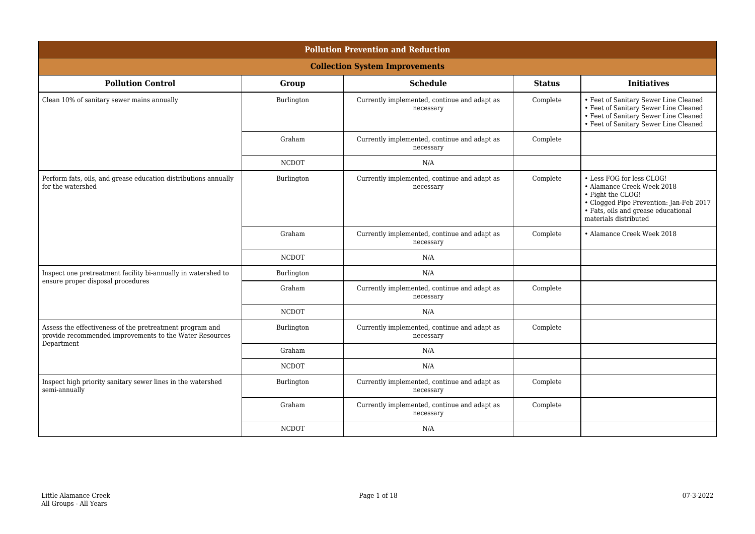| <b>Pollution Prevention and Reduction</b>                                                                                         |              |                                                           |               |                                                                                                                                                                                         |  |
|-----------------------------------------------------------------------------------------------------------------------------------|--------------|-----------------------------------------------------------|---------------|-----------------------------------------------------------------------------------------------------------------------------------------------------------------------------------------|--|
| <b>Collection System Improvements</b>                                                                                             |              |                                                           |               |                                                                                                                                                                                         |  |
| <b>Pollution Control</b>                                                                                                          | Group        | <b>Schedule</b>                                           | <b>Status</b> | <b>Initiatives</b>                                                                                                                                                                      |  |
| Clean 10% of sanitary sewer mains annually                                                                                        | Burlington   | Currently implemented, continue and adapt as<br>necessary | Complete      | • Feet of Sanitary Sewer Line Cleaned<br>• Feet of Sanitary Sewer Line Cleaned<br>• Feet of Sanitary Sewer Line Cleaned<br>• Feet of Sanitary Sewer Line Cleaned                        |  |
|                                                                                                                                   | Graham       | Currently implemented, continue and adapt as<br>necessary | Complete      |                                                                                                                                                                                         |  |
|                                                                                                                                   | <b>NCDOT</b> | N/A                                                       |               |                                                                                                                                                                                         |  |
| Perform fats, oils, and grease education distributions annually<br>for the watershed                                              | Burlington   | Currently implemented, continue and adapt as<br>necessary | Complete      | • Less FOG for less CLOG!<br>• Alamance Creek Week 2018<br>• Fight the CLOG!<br>• Clogged Pipe Prevention: Jan-Feb 2017<br>• Fats, oils and grease educational<br>materials distributed |  |
|                                                                                                                                   | Graham       | Currently implemented, continue and adapt as<br>necessary | Complete      | • Alamance Creek Week 2018                                                                                                                                                              |  |
|                                                                                                                                   | <b>NCDOT</b> | N/A                                                       |               |                                                                                                                                                                                         |  |
| Inspect one pretreatment facility bi-annually in watershed to<br>ensure proper disposal procedures                                | Burlington   | N/A                                                       |               |                                                                                                                                                                                         |  |
|                                                                                                                                   | Graham       | Currently implemented, continue and adapt as<br>necessary | Complete      |                                                                                                                                                                                         |  |
|                                                                                                                                   | <b>NCDOT</b> | N/A                                                       |               |                                                                                                                                                                                         |  |
| Assess the effectiveness of the pretreatment program and<br>provide recommended improvements to the Water Resources<br>Department | Burlington   | Currently implemented, continue and adapt as<br>necessary | Complete      |                                                                                                                                                                                         |  |
|                                                                                                                                   | Graham       | N/A                                                       |               |                                                                                                                                                                                         |  |
|                                                                                                                                   | <b>NCDOT</b> | N/A                                                       |               |                                                                                                                                                                                         |  |
| Inspect high priority sanitary sewer lines in the watershed<br>semi-annually                                                      | Burlington   | Currently implemented, continue and adapt as<br>necessary | Complete      |                                                                                                                                                                                         |  |
|                                                                                                                                   | Graham       | Currently implemented, continue and adapt as<br>necessary | Complete      |                                                                                                                                                                                         |  |
|                                                                                                                                   | <b>NCDOT</b> | N/A                                                       |               |                                                                                                                                                                                         |  |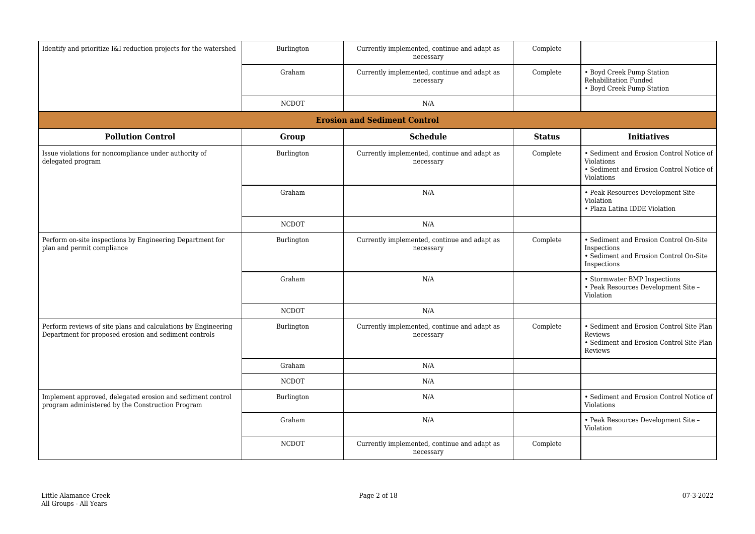| Identify and prioritize I&I reduction projects for the watershed                                                       | Burlington   | Currently implemented, continue and adapt as<br>necessary | Complete      |                                                                                                                         |  |  |
|------------------------------------------------------------------------------------------------------------------------|--------------|-----------------------------------------------------------|---------------|-------------------------------------------------------------------------------------------------------------------------|--|--|
|                                                                                                                        | Graham       | Currently implemented, continue and adapt as<br>necessary | Complete      | • Boyd Creek Pump Station<br>Rehabilitation Funded<br>• Boyd Creek Pump Station                                         |  |  |
|                                                                                                                        | <b>NCDOT</b> | N/A                                                       |               |                                                                                                                         |  |  |
| <b>Erosion and Sediment Control</b>                                                                                    |              |                                                           |               |                                                                                                                         |  |  |
| <b>Pollution Control</b>                                                                                               | Group        | <b>Schedule</b>                                           | <b>Status</b> | <b>Initiatives</b>                                                                                                      |  |  |
| Issue violations for noncompliance under authority of<br>delegated program                                             | Burlington   | Currently implemented, continue and adapt as<br>necessary | Complete      | • Sediment and Erosion Control Notice of<br><b>Violations</b><br>• Sediment and Erosion Control Notice of<br>Violations |  |  |
|                                                                                                                        | Graham       | N/A                                                       |               | • Peak Resources Development Site -<br>Violation<br>• Plaza Latina IDDE Violation                                       |  |  |
|                                                                                                                        | <b>NCDOT</b> | N/A                                                       |               |                                                                                                                         |  |  |
| Perform on-site inspections by Engineering Department for<br>plan and permit compliance                                | Burlington   | Currently implemented, continue and adapt as<br>necessary | Complete      | • Sediment and Erosion Control On-Site<br>Inspections<br>• Sediment and Erosion Control On-Site<br>Inspections          |  |  |
|                                                                                                                        | Graham       | N/A                                                       |               | • Stormwater BMP Inspections<br>• Peak Resources Development Site -<br>Violation                                        |  |  |
|                                                                                                                        | <b>NCDOT</b> | N/A                                                       |               |                                                                                                                         |  |  |
| Perform reviews of site plans and calculations by Engineering<br>Department for proposed erosion and sediment controls | Burlington   | Currently implemented, continue and adapt as<br>necessary | Complete      | • Sediment and Erosion Control Site Plan<br>Reviews<br>• Sediment and Erosion Control Site Plan<br>Reviews              |  |  |
|                                                                                                                        | Graham       | N/A                                                       |               |                                                                                                                         |  |  |
|                                                                                                                        | <b>NCDOT</b> | N/A                                                       |               |                                                                                                                         |  |  |
| Implement approved, delegated erosion and sediment control<br>program administered by the Construction Program         | Burlington   | N/A                                                       |               | • Sediment and Erosion Control Notice of<br>Violations                                                                  |  |  |
|                                                                                                                        | Graham       | N/A                                                       |               | • Peak Resources Development Site -<br>Violation                                                                        |  |  |
|                                                                                                                        | <b>NCDOT</b> | Currently implemented, continue and adapt as<br>necessary | Complete      |                                                                                                                         |  |  |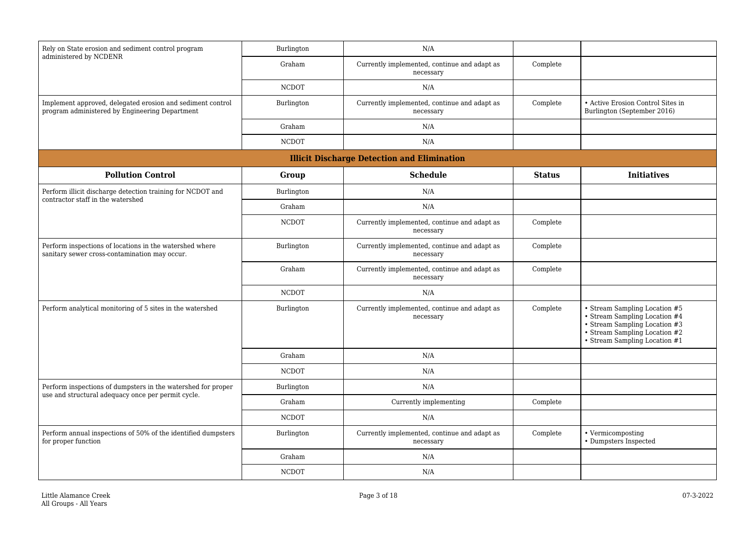| Rely on State erosion and sediment control program<br>administered by NCDENR                                       | Burlington   | N/A                                                       |               |                                                                                                                                                                   |
|--------------------------------------------------------------------------------------------------------------------|--------------|-----------------------------------------------------------|---------------|-------------------------------------------------------------------------------------------------------------------------------------------------------------------|
|                                                                                                                    | Graham       | Currently implemented, continue and adapt as<br>necessary | Complete      |                                                                                                                                                                   |
|                                                                                                                    | <b>NCDOT</b> | N/A                                                       |               |                                                                                                                                                                   |
| Implement approved, delegated erosion and sediment control<br>program administered by Engineering Department       | Burlington   | Currently implemented, continue and adapt as<br>necessary | Complete      | • Active Erosion Control Sites in<br>Burlington (September 2016)                                                                                                  |
|                                                                                                                    | Graham       | N/A                                                       |               |                                                                                                                                                                   |
|                                                                                                                    | <b>NCDOT</b> | N/A                                                       |               |                                                                                                                                                                   |
|                                                                                                                    |              | <b>Illicit Discharge Detection and Elimination</b>        |               |                                                                                                                                                                   |
| <b>Pollution Control</b>                                                                                           | Group        | <b>Schedule</b>                                           | <b>Status</b> | <b>Initiatives</b>                                                                                                                                                |
| Perform illicit discharge detection training for NCDOT and                                                         | Burlington   | N/A                                                       |               |                                                                                                                                                                   |
| contractor staff in the watershed                                                                                  | Graham       | N/A                                                       |               |                                                                                                                                                                   |
|                                                                                                                    | <b>NCDOT</b> | Currently implemented, continue and adapt as<br>necessary | Complete      |                                                                                                                                                                   |
| Perform inspections of locations in the watershed where<br>sanitary sewer cross-contamination may occur.           | Burlington   | Currently implemented, continue and adapt as<br>necessary | Complete      |                                                                                                                                                                   |
|                                                                                                                    | Graham       | Currently implemented, continue and adapt as<br>necessary | Complete      |                                                                                                                                                                   |
|                                                                                                                    | <b>NCDOT</b> | N/A                                                       |               |                                                                                                                                                                   |
| Perform analytical monitoring of 5 sites in the watershed                                                          | Burlington   | Currently implemented, continue and adapt as<br>necessary | Complete      | • Stream Sampling Location #5<br>• Stream Sampling Location #4<br>• Stream Sampling Location #3<br>• Stream Sampling Location #2<br>• Stream Sampling Location #1 |
|                                                                                                                    | Graham       | N/A                                                       |               |                                                                                                                                                                   |
|                                                                                                                    | <b>NCDOT</b> | N/A                                                       |               |                                                                                                                                                                   |
| Perform inspections of dumpsters in the watershed for proper<br>use and structural adequacy once per permit cycle. | Burlington   | N/A                                                       |               |                                                                                                                                                                   |
|                                                                                                                    | Graham       | Currently implementing                                    | Complete      |                                                                                                                                                                   |
|                                                                                                                    | <b>NCDOT</b> | N/A                                                       |               |                                                                                                                                                                   |
| Perform annual inspections of 50% of the identified dumpsters<br>for proper function                               | Burlington   | Currently implemented, continue and adapt as<br>necessary | Complete      | • Vermicomposting<br>• Dumpsters Inspected                                                                                                                        |
|                                                                                                                    | Graham       | N/A                                                       |               |                                                                                                                                                                   |
|                                                                                                                    | <b>NCDOT</b> | N/A                                                       |               |                                                                                                                                                                   |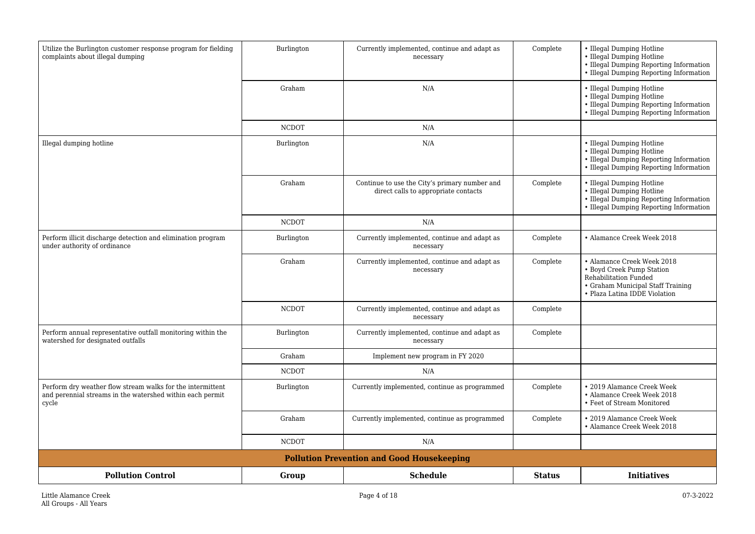| Utilize the Burlington customer response program for fielding<br>complaints about illegal dumping                                | Burlington   | Currently implemented, continue and adapt as<br>necessary                             | Complete      | • Illegal Dumping Hotline<br>• Illegal Dumping Hotline<br>• Illegal Dumping Reporting Information<br>• Illegal Dumping Reporting Information           |
|----------------------------------------------------------------------------------------------------------------------------------|--------------|---------------------------------------------------------------------------------------|---------------|--------------------------------------------------------------------------------------------------------------------------------------------------------|
|                                                                                                                                  | Graham       | N/A                                                                                   |               | • Illegal Dumping Hotline<br>• Illegal Dumping Hotline<br>• Illegal Dumping Reporting Information<br>• Illegal Dumping Reporting Information           |
|                                                                                                                                  | <b>NCDOT</b> | N/A                                                                                   |               |                                                                                                                                                        |
| Illegal dumping hotline                                                                                                          | Burlington   | N/A                                                                                   |               | • Illegal Dumping Hotline<br>• Illegal Dumping Hotline<br>• Illegal Dumping Reporting Information<br>• Illegal Dumping Reporting Information           |
|                                                                                                                                  | Graham       | Continue to use the City's primary number and<br>direct calls to appropriate contacts | Complete      | • Illegal Dumping Hotline<br>• Illegal Dumping Hotline<br>• Illegal Dumping Reporting Information<br>• Illegal Dumping Reporting Information           |
|                                                                                                                                  | <b>NCDOT</b> | N/A                                                                                   |               |                                                                                                                                                        |
| Perform illicit discharge detection and elimination program<br>under authority of ordinance                                      | Burlington   | Currently implemented, continue and adapt as<br>necessary                             | Complete      | • Alamance Creek Week 2018                                                                                                                             |
|                                                                                                                                  | Graham       | Currently implemented, continue and adapt as<br>necessary                             | Complete      | • Alamance Creek Week 2018<br>• Boyd Creek Pump Station<br>Rehabilitation Funded<br>• Graham Municipal Staff Training<br>• Plaza Latina IDDE Violation |
|                                                                                                                                  | <b>NCDOT</b> | Currently implemented, continue and adapt as<br>necessary                             | Complete      |                                                                                                                                                        |
| Perform annual representative outfall monitoring within the<br>watershed for designated outfalls                                 | Burlington   | Currently implemented, continue and adapt as<br>necessary                             | Complete      |                                                                                                                                                        |
|                                                                                                                                  | Graham       | Implement new program in FY 2020                                                      |               |                                                                                                                                                        |
|                                                                                                                                  | <b>NCDOT</b> | N/A                                                                                   |               |                                                                                                                                                        |
| Perform dry weather flow stream walks for the intermittent<br>and perennial streams in the watershed within each permit<br>cycle | Burlington   | Currently implemented, continue as programmed                                         | Complete      | • 2019 Alamance Creek Week<br>• Alamance Creek Week 2018<br>• Feet of Stream Monitored                                                                 |
|                                                                                                                                  | Graham       | Currently implemented, continue as programmed                                         | Complete      | • 2019 Alamance Creek Week<br>• Alamance Creek Week 2018                                                                                               |
|                                                                                                                                  | <b>NCDOT</b> | N/A                                                                                   |               |                                                                                                                                                        |
|                                                                                                                                  |              | <b>Pollution Prevention and Good Housekeeping</b>                                     |               |                                                                                                                                                        |
| <b>Pollution Control</b>                                                                                                         | Group        | <b>Schedule</b>                                                                       | <b>Status</b> | <b>Initiatives</b>                                                                                                                                     |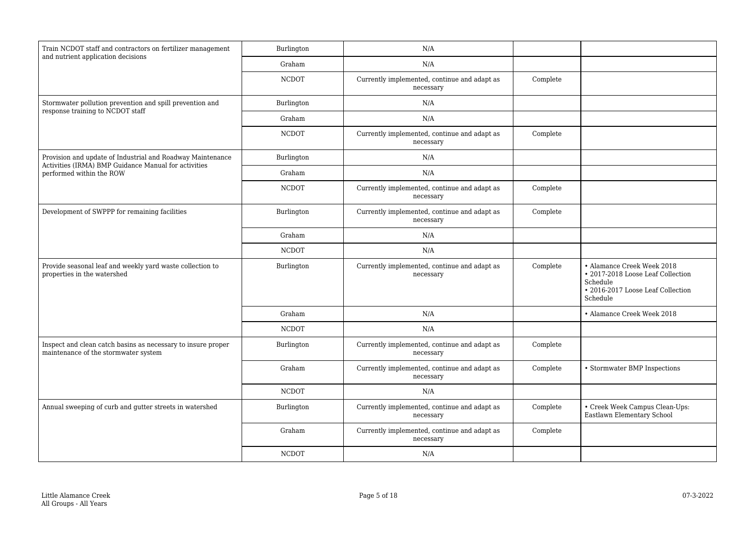| Train NCDOT staff and contractors on fertilizer management                                                         | Burlington   | N/A                                                       |          |                                                                                                                              |
|--------------------------------------------------------------------------------------------------------------------|--------------|-----------------------------------------------------------|----------|------------------------------------------------------------------------------------------------------------------------------|
| and nutrient application decisions                                                                                 | Graham       | N/A                                                       |          |                                                                                                                              |
|                                                                                                                    | <b>NCDOT</b> | Currently implemented, continue and adapt as<br>necessary | Complete |                                                                                                                              |
| Stormwater pollution prevention and spill prevention and                                                           | Burlington   | N/A                                                       |          |                                                                                                                              |
| response training to NCDOT staff                                                                                   | Graham       | N/A                                                       |          |                                                                                                                              |
|                                                                                                                    | <b>NCDOT</b> | Currently implemented, continue and adapt as<br>necessary | Complete |                                                                                                                              |
| Provision and update of Industrial and Roadway Maintenance<br>Activities (IRMA) BMP Guidance Manual for activities | Burlington   | N/A                                                       |          |                                                                                                                              |
| performed within the ROW                                                                                           | Graham       | N/A                                                       |          |                                                                                                                              |
|                                                                                                                    | <b>NCDOT</b> | Currently implemented, continue and adapt as<br>necessary | Complete |                                                                                                                              |
| Development of SWPPP for remaining facilities                                                                      | Burlington   | Currently implemented, continue and adapt as<br>necessary | Complete |                                                                                                                              |
|                                                                                                                    | Graham       | N/A                                                       |          |                                                                                                                              |
|                                                                                                                    | <b>NCDOT</b> | N/A                                                       |          |                                                                                                                              |
| Provide seasonal leaf and weekly yard waste collection to<br>properties in the watershed                           | Burlington   | Currently implemented, continue and adapt as<br>necessary | Complete | • Alamance Creek Week 2018<br>• 2017-2018 Loose Leaf Collection<br>Schedule<br>• 2016-2017 Loose Leaf Collection<br>Schedule |
|                                                                                                                    | Graham       | N/A                                                       |          | • Alamance Creek Week 2018                                                                                                   |
|                                                                                                                    | <b>NCDOT</b> | N/A                                                       |          |                                                                                                                              |
| Inspect and clean catch basins as necessary to insure proper<br>maintenance of the stormwater system               | Burlington   | Currently implemented, continue and adapt as<br>necessary | Complete |                                                                                                                              |
|                                                                                                                    | Graham       | Currently implemented, continue and adapt as<br>necessary | Complete | • Stormwater BMP Inspections                                                                                                 |
|                                                                                                                    | <b>NCDOT</b> | N/A                                                       |          |                                                                                                                              |
| Annual sweeping of curb and gutter streets in watershed                                                            | Burlington   | Currently implemented, continue and adapt as<br>necessary | Complete | • Creek Week Campus Clean-Ups:<br>Eastlawn Elementary School                                                                 |
|                                                                                                                    | Graham       | Currently implemented, continue and adapt as<br>necessary | Complete |                                                                                                                              |
|                                                                                                                    | <b>NCDOT</b> | N/A                                                       |          |                                                                                                                              |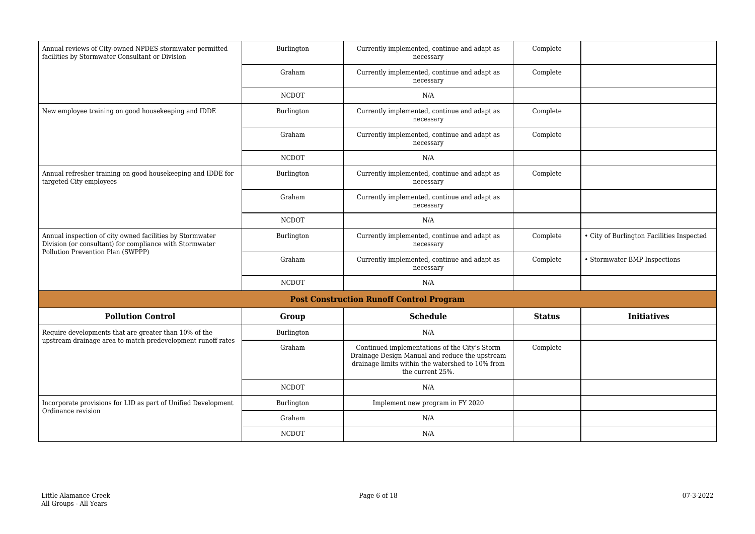| Annual reviews of City-owned NPDES stormwater permitted<br>facilities by Stormwater Consultant or Division          | Burlington   | Currently implemented, continue and adapt as<br>necessary                                                                                                               | Complete      |                                           |
|---------------------------------------------------------------------------------------------------------------------|--------------|-------------------------------------------------------------------------------------------------------------------------------------------------------------------------|---------------|-------------------------------------------|
|                                                                                                                     | Graham       | Currently implemented, continue and adapt as<br>necessary                                                                                                               | Complete      |                                           |
|                                                                                                                     | <b>NCDOT</b> | N/A                                                                                                                                                                     |               |                                           |
| New employee training on good housekeeping and IDDE                                                                 | Burlington   | Currently implemented, continue and adapt as<br>necessary                                                                                                               | Complete      |                                           |
|                                                                                                                     | Graham       | Currently implemented, continue and adapt as<br>necessary                                                                                                               | Complete      |                                           |
|                                                                                                                     | <b>NCDOT</b> | N/A                                                                                                                                                                     |               |                                           |
| Annual refresher training on good housekeeping and IDDE for<br>targeted City employees                              | Burlington   | Currently implemented, continue and adapt as<br>necessary                                                                                                               | Complete      |                                           |
|                                                                                                                     | Graham       | Currently implemented, continue and adapt as<br>necessary                                                                                                               |               |                                           |
|                                                                                                                     | <b>NCDOT</b> | N/A                                                                                                                                                                     |               |                                           |
| Annual inspection of city owned facilities by Stormwater<br>Division (or consultant) for compliance with Stormwater | Burlington   | Currently implemented, continue and adapt as<br>necessary                                                                                                               | Complete      | • City of Burlington Facilities Inspected |
| Pollution Prevention Plan (SWPPP)                                                                                   | Graham       | Currently implemented, continue and adapt as<br>necessary                                                                                                               | Complete      | • Stormwater BMP Inspections              |
|                                                                                                                     | <b>NCDOT</b> | N/A                                                                                                                                                                     |               |                                           |
|                                                                                                                     |              | <b>Post Construction Runoff Control Program</b>                                                                                                                         |               |                                           |
| <b>Pollution Control</b>                                                                                            | Group        | <b>Schedule</b>                                                                                                                                                         | <b>Status</b> | <b>Initiatives</b>                        |
| Require developments that are greater than 10% of the                                                               | Burlington   | N/A                                                                                                                                                                     |               |                                           |
| upstream drainage area to match predevelopment runoff rates                                                         | Graham       | Continued implementations of the City's Storm<br>Drainage Design Manual and reduce the upstream<br>drainage limits within the watershed to 10% from<br>the current 25%. | Complete      |                                           |
|                                                                                                                     | <b>NCDOT</b> | N/A                                                                                                                                                                     |               |                                           |
| Incorporate provisions for LID as part of Unified Development<br>Ordinance revision                                 | Burlington   | Implement new program in FY 2020                                                                                                                                        |               |                                           |
|                                                                                                                     | Graham       | N/A                                                                                                                                                                     |               |                                           |
|                                                                                                                     |              |                                                                                                                                                                         |               |                                           |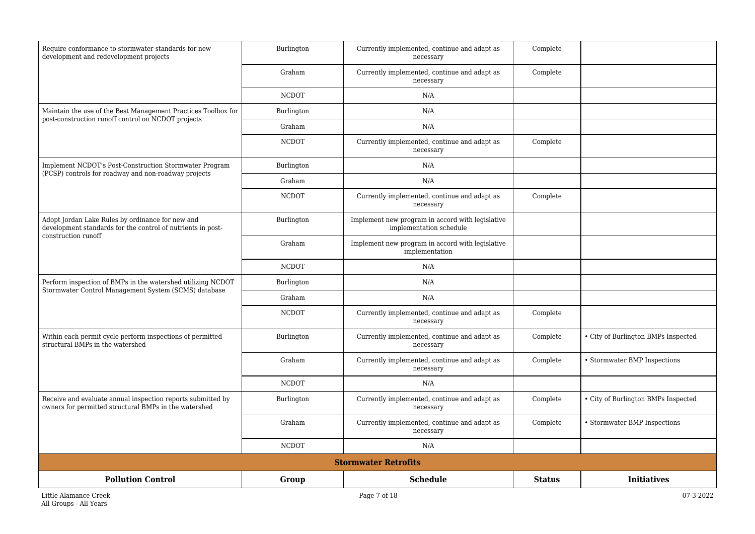| Require conformance to stormwater standards for new<br>development and redevelopment projects                        | Burlington   | Currently implemented, continue and adapt as<br>necessary                   | Complete      |                                     |
|----------------------------------------------------------------------------------------------------------------------|--------------|-----------------------------------------------------------------------------|---------------|-------------------------------------|
|                                                                                                                      | Graham       | Currently implemented, continue and adapt as<br>necessary                   | Complete      |                                     |
|                                                                                                                      | <b>NCDOT</b> | N/A                                                                         |               |                                     |
| Maintain the use of the Best Management Practices Toolbox for<br>post-construction runoff control on NCDOT projects  | Burlington   | N/A                                                                         |               |                                     |
|                                                                                                                      | Graham       | N/A                                                                         |               |                                     |
|                                                                                                                      | <b>NCDOT</b> | Currently implemented, continue and adapt as<br>necessary                   | Complete      |                                     |
| Implement NCDOT's Post-Construction Stormwater Program<br>(PCSP) controls for roadway and non-roadway projects       | Burlington   | N/A                                                                         |               |                                     |
|                                                                                                                      | Graham       | N/A                                                                         |               |                                     |
|                                                                                                                      | <b>NCDOT</b> | Currently implemented, continue and adapt as<br>necessary                   | Complete      |                                     |
| Adopt Jordan Lake Rules by ordinance for new and<br>development standards for the control of nutrients in post-      | Burlington   | Implement new program in accord with legislative<br>implementation schedule |               |                                     |
| construction runoff                                                                                                  | Graham       | Implement new program in accord with legislative<br>implementation          |               |                                     |
|                                                                                                                      | <b>NCDOT</b> | N/A                                                                         |               |                                     |
| Perform inspection of BMPs in the watershed utilizing NCDOT<br>Stormwater Control Management System (SCMS) database  | Burlington   | N/A                                                                         |               |                                     |
|                                                                                                                      | Graham       | N/A                                                                         |               |                                     |
|                                                                                                                      | <b>NCDOT</b> | Currently implemented, continue and adapt as<br>necessary                   | Complete      |                                     |
| Within each permit cycle perform inspections of permitted<br>structural BMPs in the watershed                        | Burlington   | Currently implemented, continue and adapt as<br>necessary                   | Complete      | • City of Burlington BMPs Inspected |
|                                                                                                                      | Graham       | Currently implemented, continue and adapt as<br>necessary                   | Complete      | • Stormwater BMP Inspections        |
|                                                                                                                      | <b>NCDOT</b> | N/A                                                                         |               |                                     |
| Receive and evaluate annual inspection reports submitted by<br>owners for permitted structural BMPs in the watershed | Burlington   | Currently implemented, continue and adapt as<br>necessary                   | Complete      | • City of Burlington BMPs Inspected |
|                                                                                                                      | Graham       | Currently implemented, continue and adapt as<br>necessary                   | Complete      | • Stormwater BMP Inspections        |
|                                                                                                                      | <b>NCDOT</b> | N/A                                                                         |               |                                     |
|                                                                                                                      |              | <b>Stormwater Retrofits</b>                                                 |               |                                     |
| <b>Pollution Control</b>                                                                                             | Group        | <b>Schedule</b>                                                             | <b>Status</b> | <b>Initiatives</b>                  |
| Little Alamance Creek                                                                                                |              | Page 7 of 18                                                                |               | 07-3-2022                           |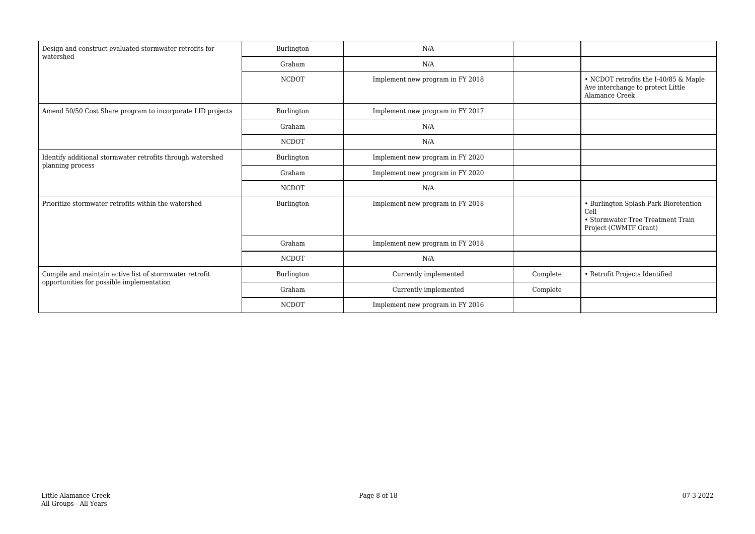| Design and construct evaluated stormwater retrofits for<br>watershed | Burlington   | N/A                              |          |                                                                                                             |
|----------------------------------------------------------------------|--------------|----------------------------------|----------|-------------------------------------------------------------------------------------------------------------|
|                                                                      | Graham       | N/A                              |          |                                                                                                             |
|                                                                      | <b>NCDOT</b> | Implement new program in FY 2018 |          | • NCDOT retrofits the I-40/85 & Maple<br>Ave interchange to protect Little<br>Alamance Creek                |
| Amend 50/50 Cost Share program to incorporate LID projects           | Burlington   | Implement new program in FY 2017 |          |                                                                                                             |
|                                                                      | Graham       | N/A                              |          |                                                                                                             |
|                                                                      | <b>NCDOT</b> | N/A                              |          |                                                                                                             |
| Identify additional stormwater retrofits through watershed           | Burlington   | Implement new program in FY 2020 |          |                                                                                                             |
| planning process                                                     | Graham       | Implement new program in FY 2020 |          |                                                                                                             |
|                                                                      | <b>NCDOT</b> | N/A                              |          |                                                                                                             |
| Prioritize stormwater retrofits within the watershed                 | Burlington   | Implement new program in FY 2018 |          | • Burlington Splash Park Bioretention<br>Cell<br>• Stormwater Tree Treatment Train<br>Project (CWMTF Grant) |
|                                                                      | Graham       | Implement new program in FY 2018 |          |                                                                                                             |
|                                                                      | <b>NCDOT</b> | N/A                              |          |                                                                                                             |
| Compile and maintain active list of stormwater retrofit              | Burlington   | Currently implemented            | Complete | • Retrofit Projects Identified                                                                              |
| opportunities for possible implementation                            | Graham       | Currently implemented            | Complete |                                                                                                             |
|                                                                      | <b>NCDOT</b> | Implement new program in FY 2016 |          |                                                                                                             |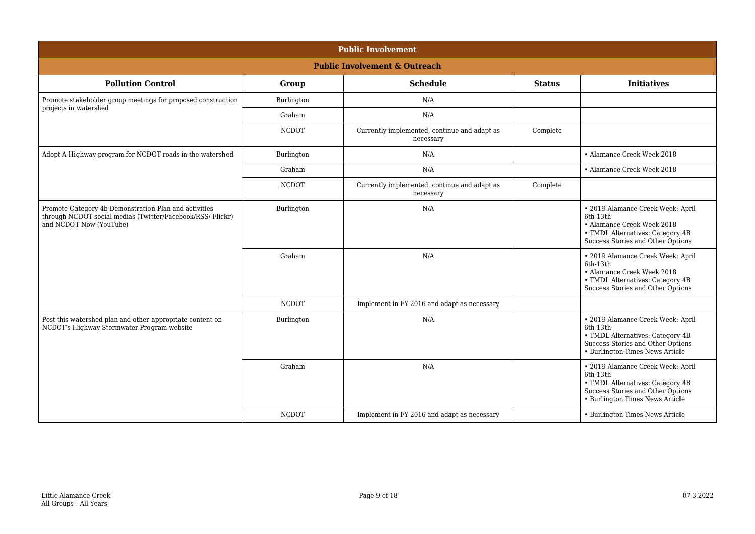| <b>Public Involvement</b>                                                                                                                      |              |                                                           |               |                                                                                                                                                           |  |
|------------------------------------------------------------------------------------------------------------------------------------------------|--------------|-----------------------------------------------------------|---------------|-----------------------------------------------------------------------------------------------------------------------------------------------------------|--|
| <b>Public Involvement &amp; Outreach</b>                                                                                                       |              |                                                           |               |                                                                                                                                                           |  |
| <b>Pollution Control</b>                                                                                                                       | Group        | <b>Schedule</b>                                           | <b>Status</b> | <b>Initiatives</b>                                                                                                                                        |  |
| Promote stakeholder group meetings for proposed construction<br>projects in watershed                                                          | Burlington   | N/A                                                       |               |                                                                                                                                                           |  |
|                                                                                                                                                | Graham       | N/A                                                       |               |                                                                                                                                                           |  |
|                                                                                                                                                | <b>NCDOT</b> | Currently implemented, continue and adapt as<br>necessary | Complete      |                                                                                                                                                           |  |
| Adopt-A-Highway program for NCDOT roads in the watershed                                                                                       | Burlington   | N/A                                                       |               | • Alamance Creek Week 2018                                                                                                                                |  |
|                                                                                                                                                | Graham       | N/A                                                       |               | • Alamance Creek Week 2018                                                                                                                                |  |
|                                                                                                                                                | <b>NCDOT</b> | Currently implemented, continue and adapt as<br>necessary | Complete      |                                                                                                                                                           |  |
| Promote Category 4b Demonstration Plan and activities<br>through NCDOT social medias (Twitter/Facebook/RSS/ Flickr)<br>and NCDOT Now (YouTube) | Burlington   | N/A                                                       |               | · 2019 Alamance Creek Week: April<br>6th-13th<br>• Alamance Creek Week 2018<br>• TMDL Alternatives: Category 4B<br>Success Stories and Other Options      |  |
|                                                                                                                                                | Graham       | N/A                                                       |               | · 2019 Alamance Creek Week: April<br>6th-13th<br>• Alamance Creek Week 2018<br>• TMDL Alternatives: Category 4B<br>Success Stories and Other Options      |  |
|                                                                                                                                                | <b>NCDOT</b> | Implement in FY 2016 and adapt as necessary               |               |                                                                                                                                                           |  |
| Post this watershed plan and other appropriate content on<br>NCDOT's Highway Stormwater Program website                                        | Burlington   | N/A                                                       |               | · 2019 Alamance Creek Week: April<br>6th-13th<br>• TMDL Alternatives: Category 4B<br>Success Stories and Other Options<br>• Burlington Times News Article |  |
|                                                                                                                                                | Graham       | N/A                                                       |               | · 2019 Alamance Creek Week: April<br>6th-13th<br>• TMDL Alternatives: Category 4B<br>Success Stories and Other Options<br>• Burlington Times News Article |  |
|                                                                                                                                                | <b>NCDOT</b> | Implement in FY 2016 and adapt as necessary               |               | • Burlington Times News Article                                                                                                                           |  |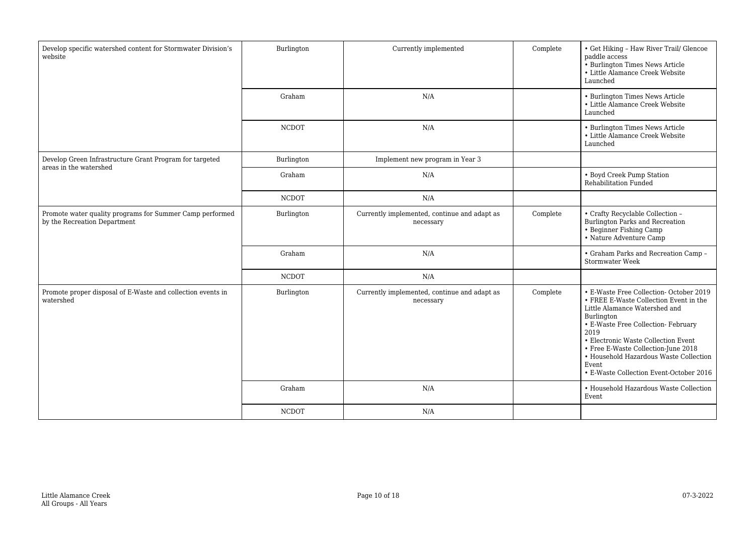| Develop specific watershed content for Stormwater Division's<br>website                  | Burlington   | Currently implemented                                     | Complete | • Get Hiking - Haw River Trail/ Glencoe<br>paddle access<br>• Burlington Times News Article<br>• Little Alamance Creek Website<br>Launched                                                                                                                                                                                                                          |
|------------------------------------------------------------------------------------------|--------------|-----------------------------------------------------------|----------|---------------------------------------------------------------------------------------------------------------------------------------------------------------------------------------------------------------------------------------------------------------------------------------------------------------------------------------------------------------------|
|                                                                                          | Graham       | N/A                                                       |          | • Burlington Times News Article<br>• Little Alamance Creek Website<br>Launched                                                                                                                                                                                                                                                                                      |
|                                                                                          | <b>NCDOT</b> | N/A                                                       |          | • Burlington Times News Article<br>• Little Alamance Creek Website<br>Launched                                                                                                                                                                                                                                                                                      |
| Develop Green Infrastructure Grant Program for targeted<br>areas in the watershed        | Burlington   | Implement new program in Year 3                           |          |                                                                                                                                                                                                                                                                                                                                                                     |
|                                                                                          | Graham       | N/A                                                       |          | • Boyd Creek Pump Station<br>Rehabilitation Funded                                                                                                                                                                                                                                                                                                                  |
|                                                                                          | <b>NCDOT</b> | N/A                                                       |          |                                                                                                                                                                                                                                                                                                                                                                     |
| Promote water quality programs for Summer Camp performed<br>by the Recreation Department | Burlington   | Currently implemented, continue and adapt as<br>necessary | Complete | • Crafty Recyclable Collection -<br>Burlington Parks and Recreation<br>• Beginner Fishing Camp<br>· Nature Adventure Camp                                                                                                                                                                                                                                           |
|                                                                                          | Graham       | N/A                                                       |          | • Graham Parks and Recreation Camp -<br>Stormwater Week                                                                                                                                                                                                                                                                                                             |
|                                                                                          | <b>NCDOT</b> | N/A                                                       |          |                                                                                                                                                                                                                                                                                                                                                                     |
| Promote proper disposal of E-Waste and collection events in<br>watershed                 | Burlington   | Currently implemented, continue and adapt as<br>necessary | Complete | • E-Waste Free Collection-October 2019<br>$\bullet$ FREE E-Waste Collection Event in the<br>Little Alamance Watershed and<br>Burlington<br>• E-Waste Free Collection- February<br>2019<br>• Electronic Waste Collection Event<br>• Free E-Waste Collection-June 2018<br>• Household Hazardous Waste Collection<br>Event.<br>• E-Waste Collection Event-October 2016 |
|                                                                                          | Graham       | N/A                                                       |          | • Household Hazardous Waste Collection<br>Event                                                                                                                                                                                                                                                                                                                     |
|                                                                                          | <b>NCDOT</b> | N/A                                                       |          |                                                                                                                                                                                                                                                                                                                                                                     |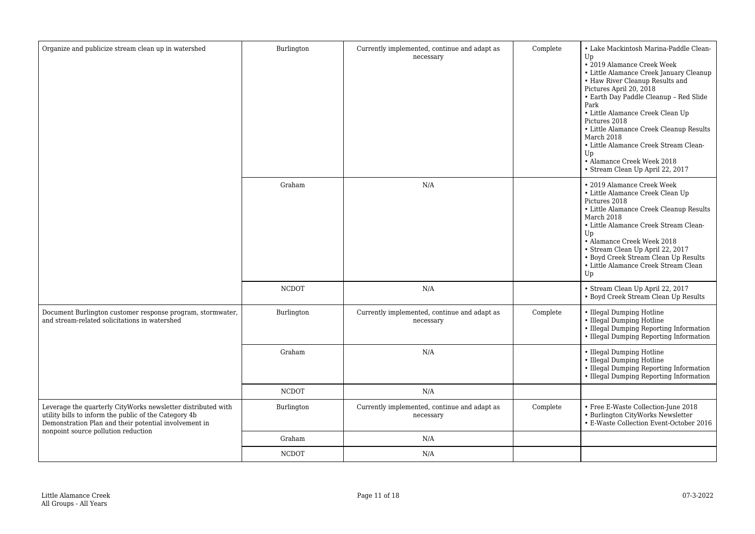| Organize and publicize stream clean up in watershed                                                                                                                            | Burlington   | Currently implemented, continue and adapt as<br>necessary | Complete | • Lake Mackintosh Marina-Paddle Clean-<br>Up<br>• 2019 Alamance Creek Week<br>• Little Alamance Creek January Cleanup<br>• Haw River Cleanup Results and<br>Pictures April 20, 2018<br>• Earth Day Paddle Cleanup - Red Slide<br>Park<br>• Little Alamance Creek Clean Up<br>Pictures 2018<br>• Little Alamance Creek Cleanup Results<br>March 2018<br>• Little Alamance Creek Stream Clean-<br>Up<br>• Alamance Creek Week 2018<br>· Stream Clean Up April 22, 2017 |
|--------------------------------------------------------------------------------------------------------------------------------------------------------------------------------|--------------|-----------------------------------------------------------|----------|----------------------------------------------------------------------------------------------------------------------------------------------------------------------------------------------------------------------------------------------------------------------------------------------------------------------------------------------------------------------------------------------------------------------------------------------------------------------|
|                                                                                                                                                                                | Graham       | N/A                                                       |          | • 2019 Alamance Creek Week<br>• Little Alamance Creek Clean Up<br>Pictures 2018<br>• Little Alamance Creek Cleanup Results<br>March 2018<br>• Little Alamance Creek Stream Clean-<br>Up<br>• Alamance Creek Week 2018<br>· Stream Clean Up April 22, 2017<br>• Boyd Creek Stream Clean Up Results<br>• Little Alamance Creek Stream Clean<br>Up                                                                                                                      |
|                                                                                                                                                                                | <b>NCDOT</b> | N/A                                                       |          | • Stream Clean Up April 22, 2017<br>• Boyd Creek Stream Clean Up Results                                                                                                                                                                                                                                                                                                                                                                                             |
| Document Burlington customer response program, stormwater,<br>and stream-related solicitations in watershed                                                                    | Burlington   | Currently implemented, continue and adapt as<br>necessary | Complete | • Illegal Dumping Hotline<br>• Illegal Dumping Hotline<br>• Illegal Dumping Reporting Information<br>• Illegal Dumping Reporting Information                                                                                                                                                                                                                                                                                                                         |
|                                                                                                                                                                                | Graham       | N/A                                                       |          | • Illegal Dumping Hotline<br>• Illegal Dumping Hotline<br>• Illegal Dumping Reporting Information<br>• Illegal Dumping Reporting Information                                                                                                                                                                                                                                                                                                                         |
|                                                                                                                                                                                | <b>NCDOT</b> | N/A                                                       |          |                                                                                                                                                                                                                                                                                                                                                                                                                                                                      |
| Leverage the quarterly CityWorks newsletter distributed with<br>utility bills to inform the public of the Category 4b<br>Demonstration Plan and their potential involvement in | Burlington   | Currently implemented, continue and adapt as<br>necessary | Complete | • Free E-Waste Collection-June 2018<br>• Burlington CityWorks Newsletter<br>• E-Waste Collection Event-October 2016                                                                                                                                                                                                                                                                                                                                                  |
| nonpoint source pollution reduction                                                                                                                                            | Graham       | N/A                                                       |          |                                                                                                                                                                                                                                                                                                                                                                                                                                                                      |
|                                                                                                                                                                                | <b>NCDOT</b> | N/A                                                       |          |                                                                                                                                                                                                                                                                                                                                                                                                                                                                      |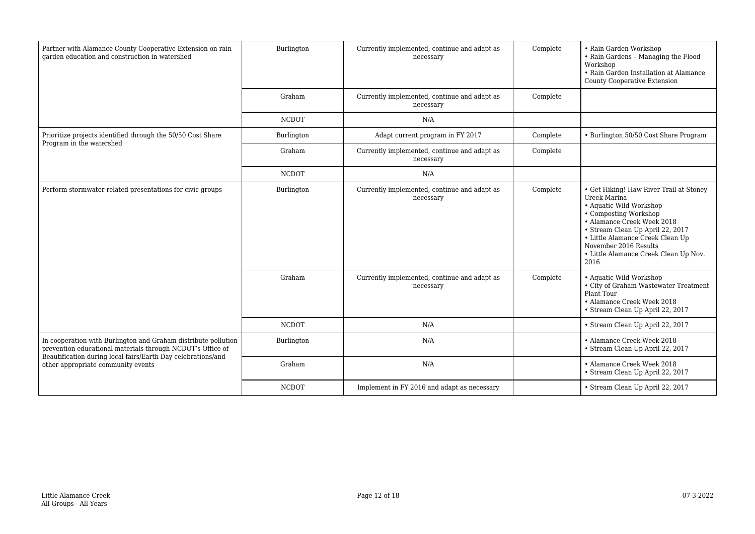| Partner with Alamance County Cooperative Extension on rain<br>garden education and construction in watershed                 | Burlington   | Currently implemented, continue and adapt as<br>necessary | Complete | • Rain Garden Workshop<br>• Rain Gardens - Managing the Flood<br>Workshop<br>• Rain Garden Installation at Alamance<br><b>County Cooperative Extension</b>                                                                                                                                  |
|------------------------------------------------------------------------------------------------------------------------------|--------------|-----------------------------------------------------------|----------|---------------------------------------------------------------------------------------------------------------------------------------------------------------------------------------------------------------------------------------------------------------------------------------------|
|                                                                                                                              | Graham       | Currently implemented, continue and adapt as<br>necessary | Complete |                                                                                                                                                                                                                                                                                             |
|                                                                                                                              | <b>NCDOT</b> | N/A                                                       |          |                                                                                                                                                                                                                                                                                             |
| Prioritize projects identified through the 50/50 Cost Share<br>Program in the watershed                                      | Burlington   | Adapt current program in FY 2017                          | Complete | • Burlington 50/50 Cost Share Program                                                                                                                                                                                                                                                       |
|                                                                                                                              | Graham       | Currently implemented, continue and adapt as<br>necessary | Complete |                                                                                                                                                                                                                                                                                             |
|                                                                                                                              | <b>NCDOT</b> | N/A                                                       |          |                                                                                                                                                                                                                                                                                             |
| Perform stormwater-related presentations for civic groups                                                                    | Burlington   | Currently implemented, continue and adapt as<br>necessary | Complete | • Get Hiking! Haw River Trail at Stoney<br>Creek Marina<br>• Aquatic Wild Workshop<br>• Composting Workshop<br>• Alamance Creek Week 2018<br>· Stream Clean Up April 22, 2017<br>• Little Alamance Creek Clean Up<br>November 2016 Results<br>• Little Alamance Creek Clean Up Nov.<br>2016 |
|                                                                                                                              | Graham       | Currently implemented, continue and adapt as<br>necessary | Complete | • Aquatic Wild Workshop<br>• City of Graham Wastewater Treatment<br>Plant Tour<br>• Alamance Creek Week 2018<br>• Stream Clean Up April 22, 2017                                                                                                                                            |
|                                                                                                                              | <b>NCDOT</b> | N/A                                                       |          | · Stream Clean Up April 22, 2017                                                                                                                                                                                                                                                            |
| In cooperation with Burlington and Graham distribute pollution<br>prevention educational materials through NCDOT's Office of | Burlington   | N/A                                                       |          | • Alamance Creek Week 2018<br>· Stream Clean Up April 22, 2017                                                                                                                                                                                                                              |
| Beautification during local fairs/Earth Day celebrations/and<br>other appropriate community events                           | Graham       | N/A                                                       |          | • Alamance Creek Week 2018<br>· Stream Clean Up April 22, 2017                                                                                                                                                                                                                              |
|                                                                                                                              | <b>NCDOT</b> | Implement in FY 2016 and adapt as necessary               |          | • Stream Clean Up April 22, 2017                                                                                                                                                                                                                                                            |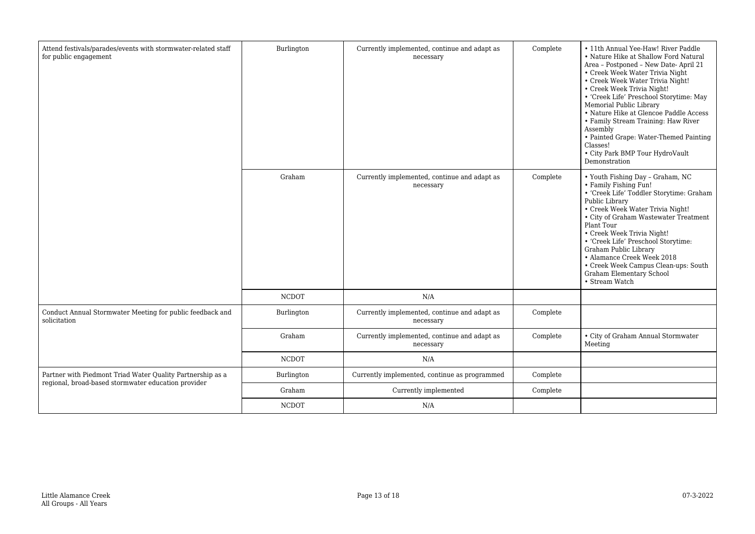| Attend festivals/parades/events with stormwater-related staff<br>for public engagement                            | Burlington   | Currently implemented, continue and adapt as<br>necessary | Complete | • 11th Annual Yee-Haw! River Paddle<br>• Nature Hike at Shallow Ford Natural<br>Area - Postponed - New Date- April 21<br>• Creek Week Water Trivia Night<br>• Creek Week Water Trivia Night!<br>• Creek Week Trivia Night!<br>• 'Creek Life' Preschool Storytime: May<br>Memorial Public Library<br>• Nature Hike at Glencoe Paddle Access<br>• Family Stream Training: Haw River<br>Assembly<br>• Painted Grape: Water-Themed Painting<br>Classes!<br>• City Park BMP Tour HydroVault<br>Demonstration |
|-------------------------------------------------------------------------------------------------------------------|--------------|-----------------------------------------------------------|----------|---------------------------------------------------------------------------------------------------------------------------------------------------------------------------------------------------------------------------------------------------------------------------------------------------------------------------------------------------------------------------------------------------------------------------------------------------------------------------------------------------------|
|                                                                                                                   | Graham       | Currently implemented, continue and adapt as<br>necessary | Complete | • Youth Fishing Day - Graham, NC<br>• Family Fishing Fun!<br>• 'Creek Life' Toddler Storytime: Graham<br>Public Library<br>• Creek Week Water Trivia Night!<br>• City of Graham Wastewater Treatment<br>Plant Tour<br>• Creek Week Trivia Night!<br>• 'Creek Life' Preschool Storytime:<br>Graham Public Library<br>• Alamance Creek Week 2018<br>• Creek Week Campus Clean-ups: South<br>Graham Elementary School<br>• Stream Watch                                                                    |
|                                                                                                                   | <b>NCDOT</b> | N/A                                                       |          |                                                                                                                                                                                                                                                                                                                                                                                                                                                                                                         |
| Conduct Annual Stormwater Meeting for public feedback and<br>solicitation                                         | Burlington   | Currently implemented, continue and adapt as<br>necessary | Complete |                                                                                                                                                                                                                                                                                                                                                                                                                                                                                                         |
|                                                                                                                   | Graham       | Currently implemented, continue and adapt as<br>necessary | Complete | • City of Graham Annual Stormwater<br>Meeting                                                                                                                                                                                                                                                                                                                                                                                                                                                           |
|                                                                                                                   | <b>NCDOT</b> | N/A                                                       |          |                                                                                                                                                                                                                                                                                                                                                                                                                                                                                                         |
| Partner with Piedmont Triad Water Quality Partnership as a<br>regional, broad-based stormwater education provider | Burlington   | Currently implemented, continue as programmed             | Complete |                                                                                                                                                                                                                                                                                                                                                                                                                                                                                                         |
|                                                                                                                   | Graham       | Currently implemented                                     | Complete |                                                                                                                                                                                                                                                                                                                                                                                                                                                                                                         |
|                                                                                                                   | <b>NCDOT</b> | N/A                                                       |          |                                                                                                                                                                                                                                                                                                                                                                                                                                                                                                         |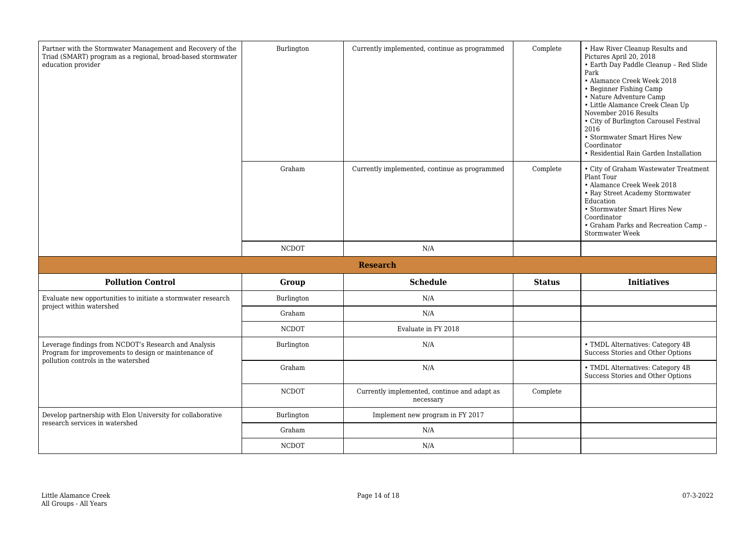| Partner with the Stormwater Management and Recovery of the<br>Triad (SMART) program as a regional, broad-based stormwater<br>education provider     | Burlington   | Currently implemented, continue as programmed             | Complete      | • Haw River Cleanup Results and<br>Pictures April 20, 2018<br>• Earth Day Paddle Cleanup - Red Slide<br>Park<br>• Alamance Creek Week 2018<br>• Beginner Fishing Camp<br>· Nature Adventure Camp<br>• Little Alamance Creek Clean Up<br>November 2016 Results<br>• City of Burlington Carousel Festival<br>2016<br>• Stormwater Smart Hires New<br>Coordinator<br>• Residential Rain Garden Installation |
|-----------------------------------------------------------------------------------------------------------------------------------------------------|--------------|-----------------------------------------------------------|---------------|----------------------------------------------------------------------------------------------------------------------------------------------------------------------------------------------------------------------------------------------------------------------------------------------------------------------------------------------------------------------------------------------------------|
|                                                                                                                                                     | Graham       | Currently implemented, continue as programmed             | Complete      | • City of Graham Wastewater Treatment<br>Plant Tour<br>• Alamance Creek Week 2018<br>• Ray Street Academy Stormwater<br>Education<br>• Stormwater Smart Hires New<br>Coordinator<br>• Graham Parks and Recreation Camp -<br>Stormwater Week                                                                                                                                                              |
|                                                                                                                                                     | <b>NCDOT</b> | N/A                                                       |               |                                                                                                                                                                                                                                                                                                                                                                                                          |
|                                                                                                                                                     |              | <b>Research</b>                                           |               |                                                                                                                                                                                                                                                                                                                                                                                                          |
| <b>Pollution Control</b>                                                                                                                            | Group        | <b>Schedule</b>                                           | <b>Status</b> | <b>Initiatives</b>                                                                                                                                                                                                                                                                                                                                                                                       |
| Evaluate new opportunities to initiate a stormwater research<br>project within watershed                                                            | Burlington   | N/A                                                       |               |                                                                                                                                                                                                                                                                                                                                                                                                          |
|                                                                                                                                                     | Graham       | N/A                                                       |               |                                                                                                                                                                                                                                                                                                                                                                                                          |
|                                                                                                                                                     | <b>NCDOT</b> | Evaluate in FY 2018                                       |               |                                                                                                                                                                                                                                                                                                                                                                                                          |
| Leverage findings from NCDOT's Research and Analysis<br>Program for improvements to design or maintenance of<br>pollution controls in the watershed | Burlington   | N/A                                                       |               | • TMDL Alternatives: Category 4B<br>Success Stories and Other Options                                                                                                                                                                                                                                                                                                                                    |
|                                                                                                                                                     | Graham       | N/A                                                       |               | • TMDL Alternatives: Category 4B<br>Success Stories and Other Options                                                                                                                                                                                                                                                                                                                                    |
|                                                                                                                                                     | <b>NCDOT</b> | Currently implemented, continue and adapt as<br>necessary | Complete      |                                                                                                                                                                                                                                                                                                                                                                                                          |
| Develop partnership with Elon University for collaborative<br>research services in watershed                                                        | Burlington   | Implement new program in FY 2017                          |               |                                                                                                                                                                                                                                                                                                                                                                                                          |
|                                                                                                                                                     | Graham       | N/A                                                       |               |                                                                                                                                                                                                                                                                                                                                                                                                          |
|                                                                                                                                                     | <b>NCDOT</b> | N/A                                                       |               |                                                                                                                                                                                                                                                                                                                                                                                                          |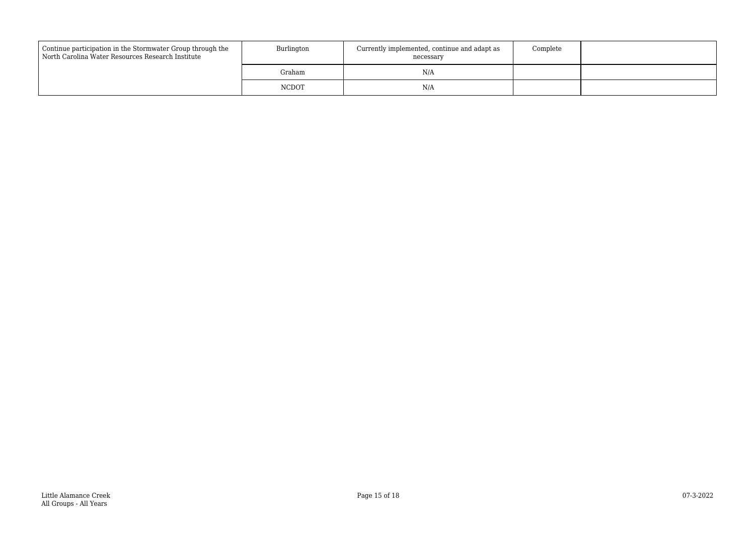| Continue participation in the Stormwater Group through the<br>North Carolina Water Resources Research Institute | Burlington   | Currently implemented, continue and adapt as<br>necessary | Complete |  |
|-----------------------------------------------------------------------------------------------------------------|--------------|-----------------------------------------------------------|----------|--|
|                                                                                                                 | Graham       | N/A                                                       |          |  |
|                                                                                                                 | <b>NCDOT</b> | N/A                                                       |          |  |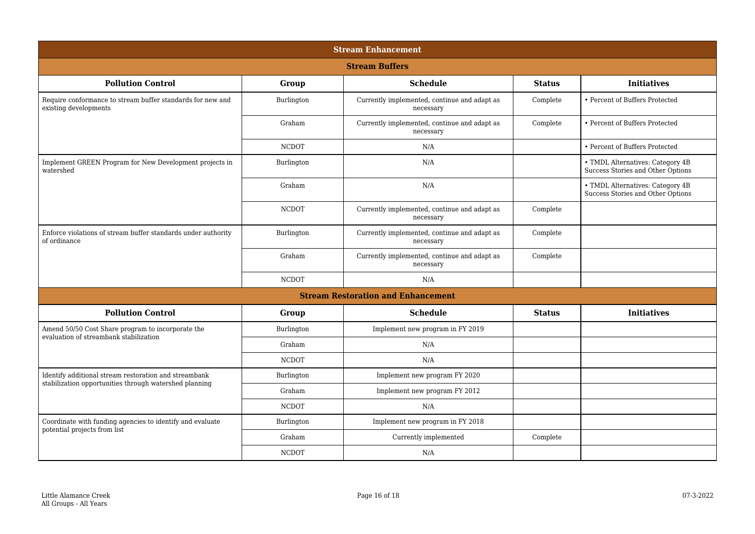| <b>Stream Enhancement</b>                                                                                       |              |                                                           |               |                                                                       |  |
|-----------------------------------------------------------------------------------------------------------------|--------------|-----------------------------------------------------------|---------------|-----------------------------------------------------------------------|--|
| <b>Stream Buffers</b>                                                                                           |              |                                                           |               |                                                                       |  |
| <b>Pollution Control</b>                                                                                        | Group        | <b>Schedule</b>                                           | <b>Status</b> | <b>Initiatives</b>                                                    |  |
| Require conformance to stream buffer standards for new and<br>existing developments                             | Burlington   | Currently implemented, continue and adapt as<br>necessary | Complete      | • Percent of Buffers Protected                                        |  |
|                                                                                                                 | Graham       | Currently implemented, continue and adapt as<br>necessary | Complete      | • Percent of Buffers Protected                                        |  |
|                                                                                                                 | <b>NCDOT</b> | N/A                                                       |               | • Percent of Buffers Protected                                        |  |
| Implement GREEN Program for New Development projects in<br>watershed                                            | Burlington   | N/A                                                       |               | • TMDL Alternatives: Category 4B<br>Success Stories and Other Options |  |
|                                                                                                                 | Graham       | N/A                                                       |               | • TMDL Alternatives: Category 4B<br>Success Stories and Other Options |  |
|                                                                                                                 | <b>NCDOT</b> | Currently implemented, continue and adapt as<br>necessary | Complete      |                                                                       |  |
| Enforce violations of stream buffer standards under authority<br>of ordinance                                   | Burlington   | Currently implemented, continue and adapt as<br>necessary | Complete      |                                                                       |  |
|                                                                                                                 | Graham       | Currently implemented, continue and adapt as<br>necessary | Complete      |                                                                       |  |
|                                                                                                                 | <b>NCDOT</b> | N/A                                                       |               |                                                                       |  |
|                                                                                                                 |              | <b>Stream Restoration and Enhancement</b>                 |               |                                                                       |  |
| <b>Pollution Control</b>                                                                                        | Group        | <b>Schedule</b>                                           | <b>Status</b> | <b>Initiatives</b>                                                    |  |
| Amend 50/50 Cost Share program to incorporate the<br>evaluation of streambank stabilization                     | Burlington   | Implement new program in FY 2019                          |               |                                                                       |  |
|                                                                                                                 | Graham       | N/A                                                       |               |                                                                       |  |
|                                                                                                                 | <b>NCDOT</b> | N/A                                                       |               |                                                                       |  |
| Identify additional stream restoration and streambank<br>stabilization opportunities through watershed planning | Burlington   | Implement new program FY 2020                             |               |                                                                       |  |
|                                                                                                                 | Graham       | Implement new program FY 2012                             |               |                                                                       |  |
|                                                                                                                 | <b>NCDOT</b> | N/A                                                       |               |                                                                       |  |
| Coordinate with funding agencies to identify and evaluate                                                       | Burlington   | Implement new program in FY 2018                          |               |                                                                       |  |
| potential projects from list                                                                                    | Graham       | Currently implemented                                     | Complete      |                                                                       |  |
|                                                                                                                 | <b>NCDOT</b> | N/A                                                       |               |                                                                       |  |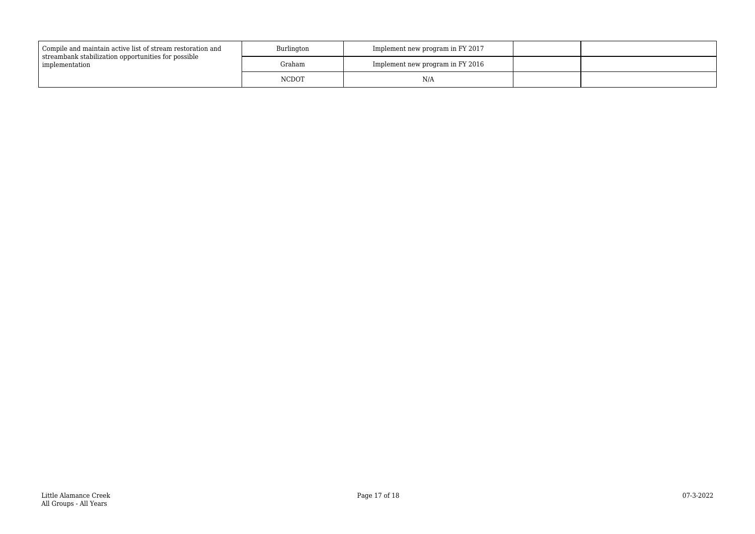| Compile and maintain active list of stream restoration and<br>streambank stabilization opportunities for possible<br>implementation | Burlington   | Implement new program in FY 2017 |  |
|-------------------------------------------------------------------------------------------------------------------------------------|--------------|----------------------------------|--|
|                                                                                                                                     | Graham       | Implement new program in FY 2016 |  |
|                                                                                                                                     | <b>NCDOT</b> | N/A                              |  |